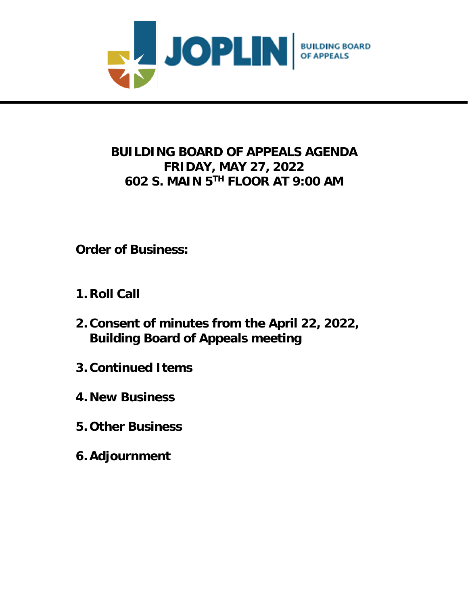

# **BUILDING BOARD OF APPEALS AGENDA FRIDAY, MAY 27, 2022 602 S. MAIN 5 TH FLOOR AT 9:00 AM**

**Order of Business:**

- **1. Roll Call**
- **2. Consent of minutes from the April 22, 2022, Building Board of Appeals meeting**
- **3. Continued Items**
- **4. New Business**
- **5. Other Business**
- **6. Adjournment**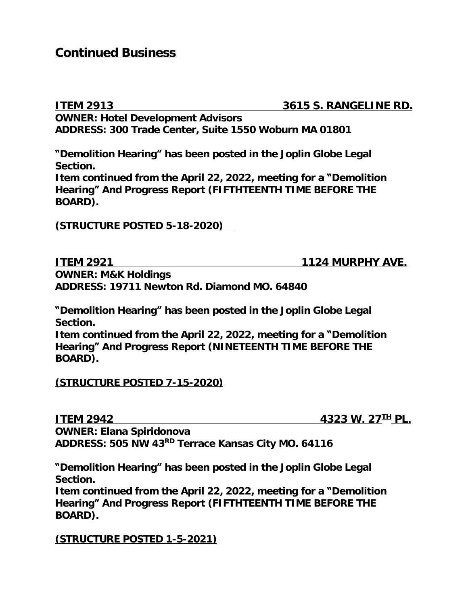## **Continued Business**

**ITEM 2913 3615 S. RANGELINE RD. OWNER: Hotel Development Advisors ADDRESS: 300 Trade Center, Suite 1550 Woburn MA 01801**

**"Demolition Hearing" has been posted in the Joplin Globe Legal Section.**

**Item continued from the April 22, 2022, meeting for a "Demolition Hearing" And Progress Report (FIFTHTEENTH TIME BEFORE THE BOARD).**

**(STRUCTURE POSTED 5-18-2020)** 

**ITEM 2921 1124 MURPHY AVE.** 

**OWNER: M&K Holdings ADDRESS: 19711 Newton Rd. Diamond MO. 64840**

**"Demolition Hearing" has been posted in the Joplin Globe Legal Section.**

**Item continued from the April 22, 2022, meeting for a "Demolition Hearing" And Progress Report (NINETEENTH TIME BEFORE THE BOARD).**

**(STRUCTURE POSTED 7-15-2020)**

**ITEM 2942 4323 W. 27TH PL.**

**OWNER: Elana Spiridonova ADDRESS: 505 NW 43RD Terrace Kansas City MO. 64116**

**"Demolition Hearing" has been posted in the Joplin Globe Legal Section.**

**Item continued from the April 22, 2022, meeting for a "Demolition Hearing" And Progress Report (FIFTHTEENTH TIME BEFORE THE BOARD).**

**(STRUCTURE POSTED 1-5-2021)**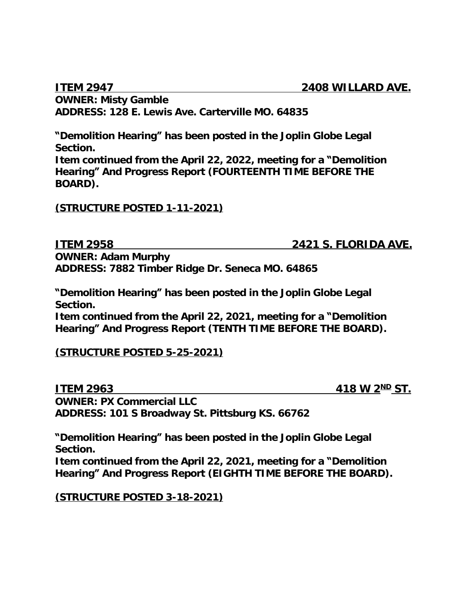**OWNER: Misty Gamble ADDRESS: 128 E. Lewis Ave. Carterville MO. 64835**

**"Demolition Hearing" has been posted in the Joplin Globe Legal Section.**

**Item continued from the April 22, 2022, meeting for a "Demolition Hearing" And Progress Report (FOURTEENTH TIME BEFORE THE BOARD).**

**(STRUCTURE POSTED 1-11-2021)**

**ITEM 2958 2421 S. FLORIDA AVE. OWNER: Adam Murphy ADDRESS: 7882 Timber Ridge Dr. Seneca MO. 64865**

**"Demolition Hearing" has been posted in the Joplin Globe Legal Section.**

**Item continued from the April 22, 2021, meeting for a "Demolition Hearing" And Progress Report (TENTH TIME BEFORE THE BOARD).**

### **(STRUCTURE POSTED 5-25-2021)**

**ITEM 2963 418 W 2**<sup>ND</sup> ST. **OWNER: PX Commercial LLC ADDRESS: 101 S Broadway St. Pittsburg KS. 66762**

**"Demolition Hearing" has been posted in the Joplin Globe Legal Section.**

**Item continued from the April 22, 2021, meeting for a "Demolition Hearing" And Progress Report (EIGHTH TIME BEFORE THE BOARD).**

**(STRUCTURE POSTED 3-18-2021)**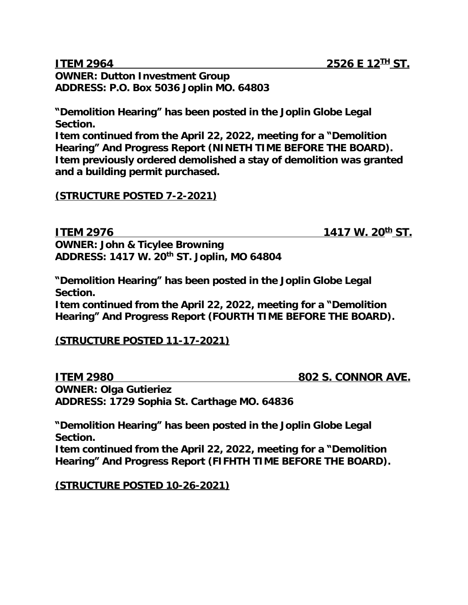**OWNER: Dutton Investment Group ADDRESS: P.O. Box 5036 Joplin MO. 64803**

**"Demolition Hearing" has been posted in the Joplin Globe Legal Section.**

**Item continued from the April 22, 2022, meeting for a "Demolition Hearing" And Progress Report (NINETH TIME BEFORE THE BOARD). Item previously ordered demolished a stay of demolition was granted and a building permit purchased.**

#### **(STRUCTURE POSTED 7-2-2021)**

**ITEM 2976 1417 W. 20<sup>th</sup> ST. OWNER: John & Ticylee Browning**

**ADDRESS: 1417 W. 20th ST. Joplin, MO 64804**

**"Demolition Hearing" has been posted in the Joplin Globe Legal Section.**

**Item continued from the April 22, 2022, meeting for a "Demolition Hearing" And Progress Report (FOURTH TIME BEFORE THE BOARD).**

#### **(STRUCTURE POSTED 11-17-2021)**

**ITEM 2980 802 S. CONNOR AVE. OWNER: Olga Gutieriez ADDRESS: 1729 Sophia St. Carthage MO. 64836**

**"Demolition Hearing" has been posted in the Joplin Globe Legal Section.**

**Item continued from the April 22, 2022, meeting for a "Demolition Hearing" And Progress Report (FIFHTH TIME BEFORE THE BOARD).**

**(STRUCTURE POSTED 10-26-2021)**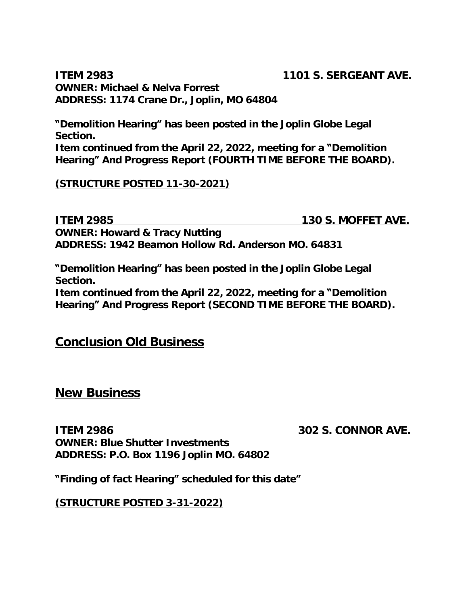**ITEM 2983 1101 S. SERGEANT AVE.**

**OWNER: Michael & Nelva Forrest ADDRESS: 1174 Crane Dr., Joplin, MO 64804**

**"Demolition Hearing" has been posted in the Joplin Globe Legal Section.**

**Item continued from the April 22, 2022, meeting for a "Demolition Hearing" And Progress Report (FOURTH TIME BEFORE THE BOARD).**

**(STRUCTURE POSTED 11-30-2021)**

**ITEM 2985 130 S. MOFFET AVE. OWNER: Howard & Tracy Nutting ADDRESS: 1942 Beamon Hollow Rd. Anderson MO. 64831**

**"Demolition Hearing" has been posted in the Joplin Globe Legal Section.**

**Item continued from the April 22, 2022, meeting for a "Demolition Hearing" And Progress Report (SECOND TIME BEFORE THE BOARD).**

## **Conclusion Old Business**

**New Business**

**ITEM 2986 302 S. CONNOR AVE.**

**OWNER: Blue Shutter Investments ADDRESS: P.O. Box 1196 Joplin MO. 64802**

**"Finding of fact Hearing" scheduled for this date"**

**(STRUCTURE POSTED 3-31-2022)**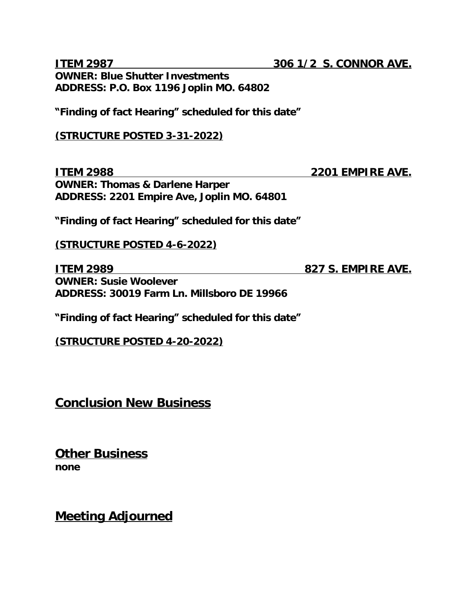**ITEM 2987 306 1/2 S. CONNOR AVE. OWNER: Blue Shutter Investments ADDRESS: P.O. Box 1196 Joplin MO. 64802 "Finding of fact Hearing" scheduled for this date" (STRUCTURE POSTED 3-31-2022)**

**ITEM 2988 2201 EMPIRE AVE. OWNER: Thomas & Darlene Harper ADDRESS: 2201 Empire Ave, Joplin MO. 64801**

**"Finding of fact Hearing" scheduled for this date"**

**(STRUCTURE POSTED 4-6-2022)**

**ITEM 2989 827 S. EMPIRE AVE. OWNER: Susie Woolever ADDRESS: 30019 Farm Ln. Millsboro DE 19966**

**"Finding of fact Hearing" scheduled for this date"**

**(STRUCTURE POSTED 4-20-2022)**

**Conclusion New Business**

**Other Business none**

**Meeting Adjourned**